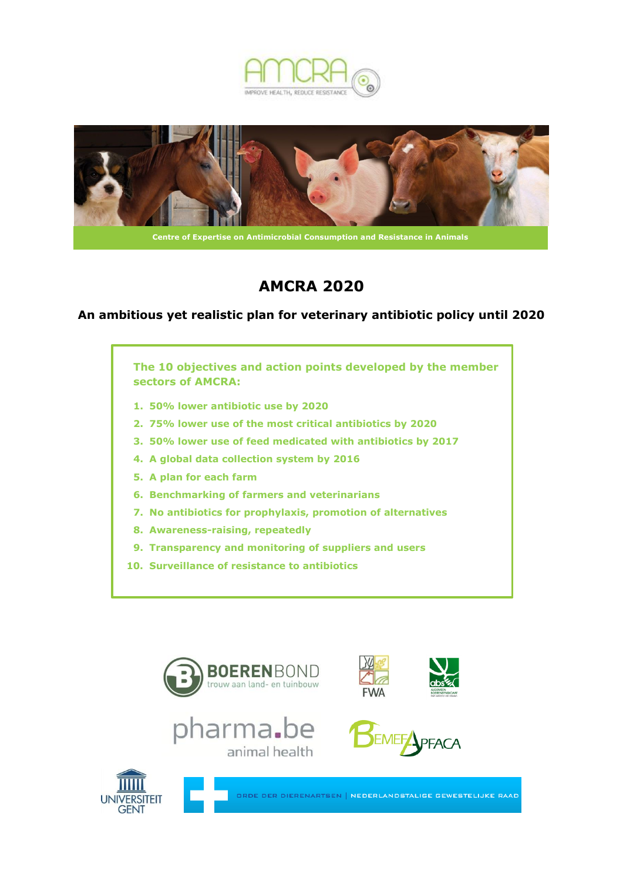



# **AMCRA 2020**

## **An ambitious yet realistic plan for veterinary antibiotic policy until 2020**

**The 10 objectives and action points developed by the member sectors of AMCRA:**

- **1. 50% lower antibiotic use by 2020**
- **2. 75% lower use of the most critical antibiotics by 2020**
- **3. 50% lower use of feed medicated with antibiotics by 2017**
- **4. A global data collection system by 2016**
- **5. A plan for each farm**
- **6. Benchmarking of farmers and veterinarians**
- **7. No antibiotics for prophylaxis, promotion of alternatives**
- **8. Awareness-raising, repeatedly**
- **9. Transparency and monitoring of suppliers and users**
- **10. Surveillance of resistance to antibiotics**













ORDE DER DIERENARTSEN | NEDERLANDSTALIGE GEWESTELIJKE RAAD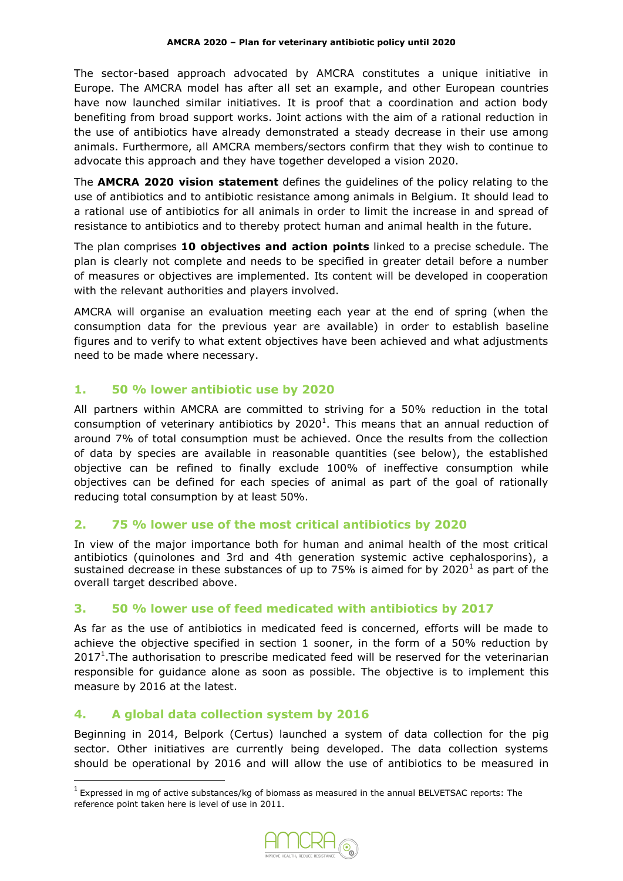The sector-based approach advocated by AMCRA constitutes a unique initiative in Europe. The AMCRA model has after all set an example, and other European countries have now launched similar initiatives. It is proof that a coordination and action body benefiting from broad support works. Joint actions with the aim of a rational reduction in the use of antibiotics have already demonstrated a steady decrease in their use among animals. Furthermore, all AMCRA members/sectors confirm that they wish to continue to advocate this approach and they have together developed a vision 2020.

The **AMCRA 2020 vision statement** defines the guidelines of the policy relating to the use of antibiotics and to antibiotic resistance among animals in Belgium. It should lead to a rational use of antibiotics for all animals in order to limit the increase in and spread of resistance to antibiotics and to thereby protect human and animal health in the future.

The plan comprises **10 objectives and action points** linked to a precise schedule. The plan is clearly not complete and needs to be specified in greater detail before a number of measures or objectives are implemented. Its content will be developed in cooperation with the relevant authorities and players involved.

AMCRA will organise an evaluation meeting each year at the end of spring (when the consumption data for the previous year are available) in order to establish baseline figures and to verify to what extent objectives have been achieved and what adjustments need to be made where necessary.

# **1. 50 % lower antibiotic use by 2020**

All partners within AMCRA are committed to striving for a 50% reduction in the total consumption of veterinary antibiotics by  $2020<sup>1</sup>$ . This means that an annual reduction of around 7% of total consumption must be achieved. Once the results from the collection of data by species are available in reasonable quantities (see below), the established objective can be refined to finally exclude 100% of ineffective consumption while objectives can be defined for each species of animal as part of the goal of rationally reducing total consumption by at least 50%.

# **2. 75 % lower use of the most critical antibiotics by 2020**

In view of the major importance both for human and animal health of the most critical antibiotics (quinolones and 3rd and 4th generation systemic active cephalosporins), a sustained decrease in these substances of up to 75% is aimed for by 2020<sup>1</sup> as part of the overall target described above.

## **3. 50 % lower use of feed medicated with antibiotics by 2017**

As far as the use of antibiotics in medicated feed is concerned, efforts will be made to achieve the objective specified in section 1 sooner, in the form of a 50% reduction by  $2017<sup>1</sup>$ . The authorisation to prescribe medicated feed will be reserved for the veterinarian responsible for guidance alone as soon as possible. The objective is to implement this measure by 2016 at the latest.

## **4. A global data collection system by 2016**

**.** 

Beginning in 2014, Belpork (Certus) launched a system of data collection for the pig sector. Other initiatives are currently being developed. The data collection systems should be operational by 2016 and will allow the use of antibiotics to be measured in

 $^{1}$  Expressed in mg of active substances/kg of biomass as measured in the annual BELVETSAC reports: The reference point taken here is level of use in 2011.

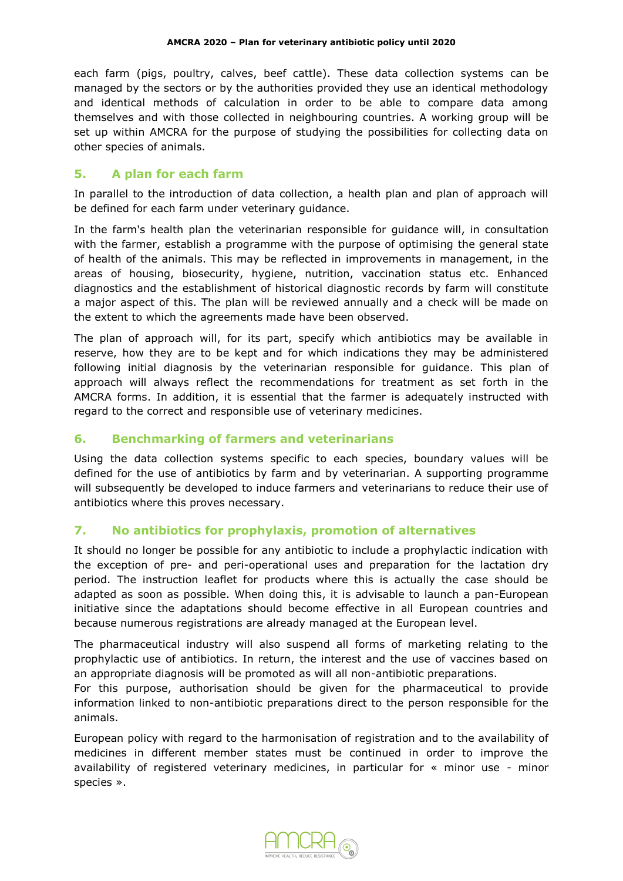each farm (pigs, poultry, calves, beef cattle). These data collection systems can be managed by the sectors or by the authorities provided they use an identical methodology and identical methods of calculation in order to be able to compare data among themselves and with those collected in neighbouring countries. A working group will be set up within AMCRA for the purpose of studying the possibilities for collecting data on other species of animals.

# **5. A plan for each farm**

In parallel to the introduction of data collection, a health plan and plan of approach will be defined for each farm under veterinary guidance.

In the farm's health plan the veterinarian responsible for guidance will, in consultation with the farmer, establish a programme with the purpose of optimising the general state of health of the animals. This may be reflected in improvements in management, in the areas of housing, biosecurity, hygiene, nutrition, vaccination status etc. Enhanced diagnostics and the establishment of historical diagnostic records by farm will constitute a major aspect of this. The plan will be reviewed annually and a check will be made on the extent to which the agreements made have been observed.

The plan of approach will, for its part, specify which antibiotics may be available in reserve, how they are to be kept and for which indications they may be administered following initial diagnosis by the veterinarian responsible for guidance. This plan of approach will always reflect the recommendations for treatment as set forth in the AMCRA forms. In addition, it is essential that the farmer is adequately instructed with regard to the correct and responsible use of veterinary medicines.

# **6. Benchmarking of farmers and veterinarians**

Using the data collection systems specific to each species, boundary values will be defined for the use of antibiotics by farm and by veterinarian. A supporting programme will subsequently be developed to induce farmers and veterinarians to reduce their use of antibiotics where this proves necessary.

# **7. No antibiotics for prophylaxis, promotion of alternatives**

It should no longer be possible for any antibiotic to include a prophylactic indication with the exception of pre- and peri-operational uses and preparation for the lactation dry period. The instruction leaflet for products where this is actually the case should be adapted as soon as possible. When doing this, it is advisable to launch a pan-European initiative since the adaptations should become effective in all European countries and because numerous registrations are already managed at the European level.

The pharmaceutical industry will also suspend all forms of marketing relating to the prophylactic use of antibiotics. In return, the interest and the use of vaccines based on an appropriate diagnosis will be promoted as will all non-antibiotic preparations.

For this purpose, authorisation should be given for the pharmaceutical to provide information linked to non-antibiotic preparations direct to the person responsible for the animals.

European policy with regard to the harmonisation of registration and to the availability of medicines in different member states must be continued in order to improve the availability of registered veterinary medicines, in particular for « minor use - minor species ».